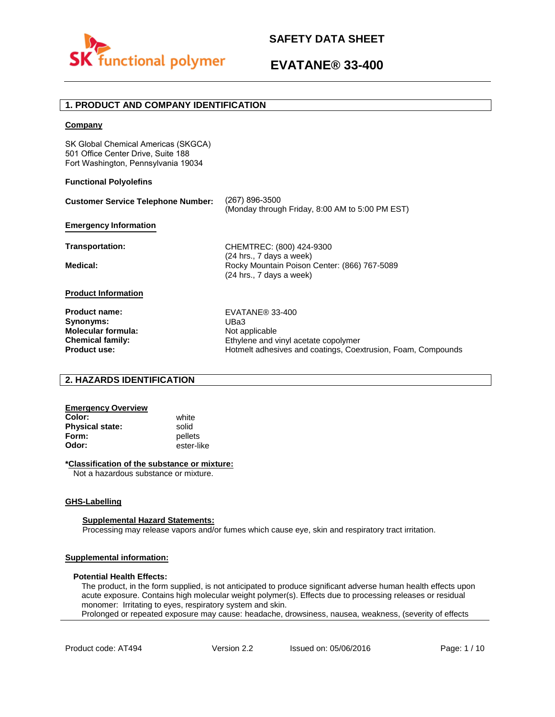

## **1. PRODUCT AND COMPANY IDENTIFICATION**

### **Company**

SK Global Chemical Americas (SKGCA) 501 Office Center Drive, Suite 188 Fort Washington, Pennsylvania 19034

### **Functional Polyolefins**

| <b>Customer Service Telephone Number:</b> | (267) 896-3500<br>(Monday through Friday, 8:00 AM to 5:00 PM EST)                                      |
|-------------------------------------------|--------------------------------------------------------------------------------------------------------|
| <b>Emergency Information</b>              |                                                                                                        |
| Transportation:                           | CHEMTREC: (800) 424-9300                                                                               |
| Medical:                                  | $(24$ hrs., 7 days a week)<br>Rocky Mountain Poison Center: (866) 767-5089<br>(24 hrs., 7 days a week) |
| <b>Product Information</b>                |                                                                                                        |
| <b>Product name:</b>                      | EVATANE® 33-400                                                                                        |
| Synonyms:                                 | UBa3                                                                                                   |
| <b>Molecular formula:</b>                 | Not applicable                                                                                         |
| <b>Chemical family:</b>                   | Ethylene and vinyl acetate copolymer                                                                   |
| <b>Product use:</b>                       | Hotmelt adhesives and coatings, Coextrusion, Foam, Compounds                                           |

## **2. HAZARDS IDENTIFICATION**

## **Emergency Overview**

**Color:** white **Physical state:** solid<br> **Form:** nellet **Form:** pellets<br> **Odor:** ester-li

**Odor:** ester-like

### **\*Classification of the substance or mixture:**

Not a hazardous substance or mixture.

### **GHS-Labelling**

### **Supplemental Hazard Statements:**

Processing may release vapors and/or fumes which cause eye, skin and respiratory tract irritation.

## **Supplemental information:**

### **Potential Health Effects:**

The product, in the form supplied, is not anticipated to produce significant adverse human health effects upon acute exposure. Contains high molecular weight polymer(s). Effects due to processing releases or residual monomer: Irritating to eyes, respiratory system and skin. Prolonged or repeated exposure may cause: headache, drowsiness, nausea, weakness, (severity of effects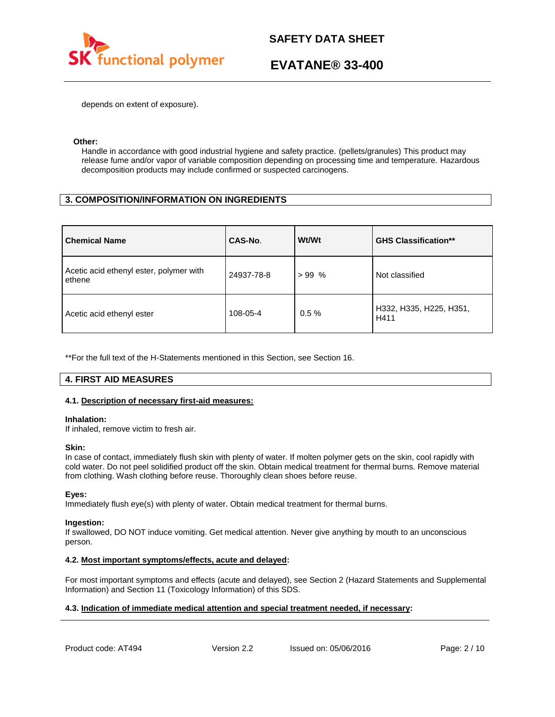

depends on extent of exposure).

### **Other:**

Handle in accordance with good industrial hygiene and safety practice. (pellets/granules) This product may release fume and/or vapor of variable composition depending on processing time and temperature. Hazardous decomposition products may include confirmed or suspected carcinogens.

## **3. COMPOSITION/INFORMATION ON INGREDIENTS**

| <b>Chemical Name</b>                              | CAS-No.    | Wt/Wt    | <b>GHS Classification**</b>     |
|---------------------------------------------------|------------|----------|---------------------------------|
| Acetic acid ethenyl ester, polymer with<br>ethene | 24937-78-8 | $>99\%$  | Not classified                  |
| Acetic acid ethenyl ester                         | 108-05-4   | $0.5 \%$ | H332, H335, H225, H351,<br>H411 |

\*\*For the full text of the H-Statements mentioned in this Section, see Section 16.

## **4. FIRST AID MEASURES**

### **4.1. Description of necessary first-aid measures:**

### **Inhalation:**

If inhaled, remove victim to fresh air.

### **Skin:**

In case of contact, immediately flush skin with plenty of water. If molten polymer gets on the skin, cool rapidly with cold water. Do not peel solidified product off the skin. Obtain medical treatment for thermal burns. Remove material from clothing. Wash clothing before reuse. Thoroughly clean shoes before reuse.

### **Eyes:**

Immediately flush eye(s) with plenty of water. Obtain medical treatment for thermal burns.

### **Ingestion:**

If swallowed, DO NOT induce vomiting. Get medical attention. Never give anything by mouth to an unconscious person.

### **4.2. Most important symptoms/effects, acute and delayed:**

For most important symptoms and effects (acute and delayed), see Section 2 (Hazard Statements and Supplemental Information) and Section 11 (Toxicology Information) of this SDS.

### **4.3. Indication of immediate medical attention and special treatment needed, if necessary:**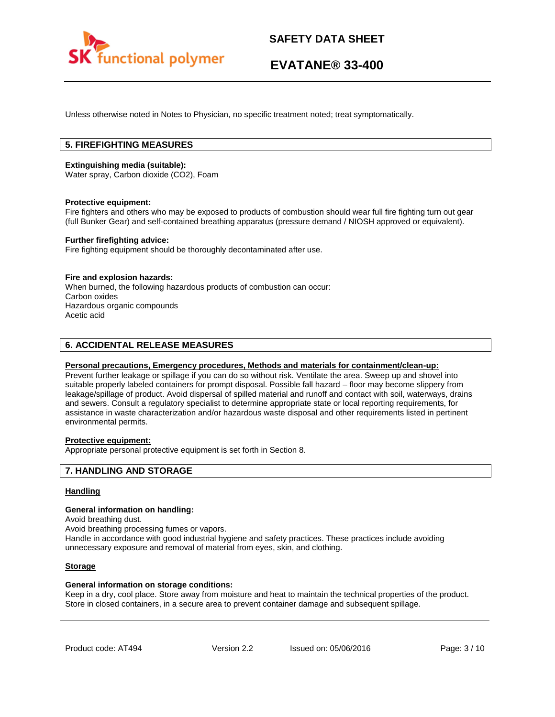

Unless otherwise noted in Notes to Physician, no specific treatment noted; treat symptomatically.

## **5. FIREFIGHTING MEASURES**

### **Extinguishing media (suitable):**

Water spray, Carbon dioxide (CO2), Foam

### **Protective equipment:**

Fire fighters and others who may be exposed to products of combustion should wear full fire fighting turn out gear (full Bunker Gear) and self-contained breathing apparatus (pressure demand / NIOSH approved or equivalent).

### **Further firefighting advice:**

Fire fighting equipment should be thoroughly decontaminated after use.

### **Fire and explosion hazards:**

When burned, the following hazardous products of combustion can occur: Carbon oxides Hazardous organic compounds Acetic acid

## **6. ACCIDENTAL RELEASE MEASURES**

### **Personal precautions, Emergency procedures, Methods and materials for containment/clean-up:**

Prevent further leakage or spillage if you can do so without risk. Ventilate the area. Sweep up and shovel into suitable properly labeled containers for prompt disposal. Possible fall hazard – floor may become slippery from leakage/spillage of product. Avoid dispersal of spilled material and runoff and contact with soil, waterways, drains and sewers. Consult a regulatory specialist to determine appropriate state or local reporting requirements, for assistance in waste characterization and/or hazardous waste disposal and other requirements listed in pertinent environmental permits.

### **Protective equipment:**

Appropriate personal protective equipment is set forth in Section 8.

### **7. HANDLING AND STORAGE**

### **Handling**

### **General information on handling:**

Avoid breathing dust.

Avoid breathing processing fumes or vapors.

Handle in accordance with good industrial hygiene and safety practices. These practices include avoiding unnecessary exposure and removal of material from eyes, skin, and clothing.

### **Storage**

### **General information on storage conditions:**

Keep in a dry, cool place. Store away from moisture and heat to maintain the technical properties of the product. Store in closed containers, in a secure area to prevent container damage and subsequent spillage.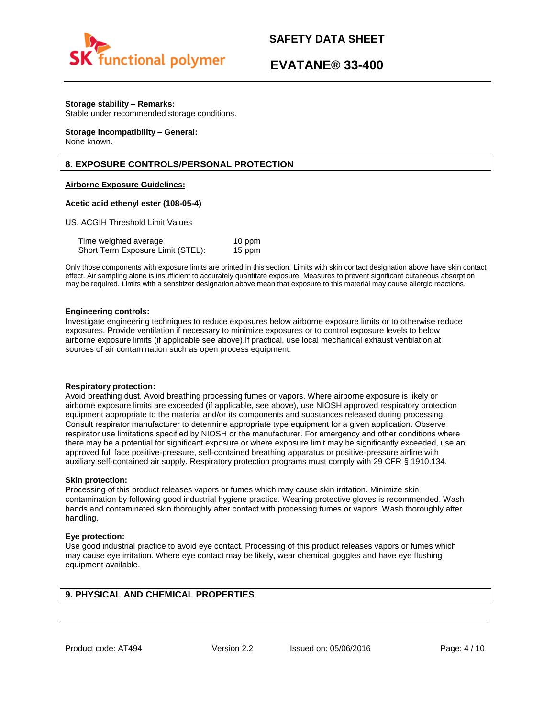

## **EVATANE® 33-400**

### **Storage stability – Remarks:**

Stable under recommended storage conditions.

#### **Storage incompatibility – General:**  None known.

## **8. EXPOSURE CONTROLS/PERSONAL PROTECTION**

### **Airborne Exposure Guidelines:**

### **Acetic acid ethenyl ester (108-05-4)**

US. ACGIH Threshold Limit Values

| Time weighted average             | 10 ppm |
|-----------------------------------|--------|
| Short Term Exposure Limit (STEL): | 15 ppm |

Only those components with exposure limits are printed in this section. Limits with skin contact designation above have skin contact effect. Air sampling alone is insufficient to accurately quantitate exposure. Measures to prevent significant cutaneous absorption may be required. Limits with a sensitizer designation above mean that exposure to this material may cause allergic reactions.

### **Engineering controls:**

Investigate engineering techniques to reduce exposures below airborne exposure limits or to otherwise reduce exposures. Provide ventilation if necessary to minimize exposures or to control exposure levels to below airborne exposure limits (if applicable see above).If practical, use local mechanical exhaust ventilation at sources of air contamination such as open process equipment.

### **Respiratory protection:**

Avoid breathing dust. Avoid breathing processing fumes or vapors. Where airborne exposure is likely or airborne exposure limits are exceeded (if applicable, see above), use NIOSH approved respiratory protection equipment appropriate to the material and/or its components and substances released during processing. Consult respirator manufacturer to determine appropriate type equipment for a given application. Observe respirator use limitations specified by NIOSH or the manufacturer. For emergency and other conditions where there may be a potential for significant exposure or where exposure limit may be significantly exceeded, use an approved full face positive-pressure, self-contained breathing apparatus or positive-pressure airline with auxiliary self-contained air supply. Respiratory protection programs must comply with 29 CFR § 1910.134.

### **Skin protection:**

Processing of this product releases vapors or fumes which may cause skin irritation. Minimize skin contamination by following good industrial hygiene practice. Wearing protective gloves is recommended. Wash hands and contaminated skin thoroughly after contact with processing fumes or vapors. Wash thoroughly after handling.

### **Eye protection:**

Use good industrial practice to avoid eye contact. Processing of this product releases vapors or fumes which may cause eye irritation. Where eye contact may be likely, wear chemical goggles and have eye flushing equipment available.

## **9. PHYSICAL AND CHEMICAL PROPERTIES**

Product code: AT494 Version 2.2 Issued on: 05/06/2016 Page: 4/10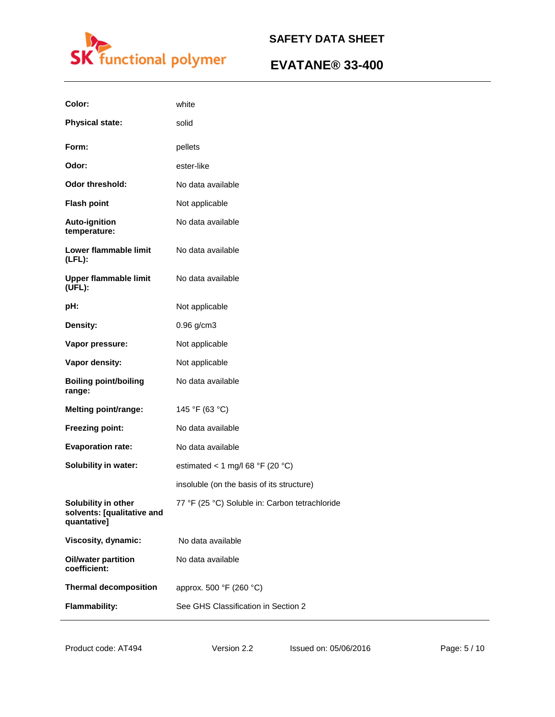

| Color:                                                           | white                                          |
|------------------------------------------------------------------|------------------------------------------------|
| <b>Physical state:</b>                                           | solid                                          |
| Form:                                                            | pellets                                        |
| Odor:                                                            | ester-like                                     |
| Odor threshold:                                                  | No data available                              |
| <b>Flash point</b>                                               | Not applicable                                 |
| Auto-ignition<br>temperature:                                    | No data available                              |
| Lower flammable limit<br>$(LFL)$ :                               | No data available                              |
| <b>Upper flammable limit</b><br>(UFL):                           | No data available                              |
| pH:                                                              | Not applicable                                 |
| Density:                                                         | 0.96 g/cm3                                     |
| Vapor pressure:                                                  | Not applicable                                 |
| Vapor density:                                                   | Not applicable                                 |
| <b>Boiling point/boiling</b><br>range:                           | No data available                              |
| <b>Melting point/range:</b>                                      | 145 °F (63 °C)                                 |
| Freezing point:                                                  | No data available                              |
| <b>Evaporation rate:</b>                                         | No data available                              |
| Solubility in water:                                             | estimated < 1 mg/l 68 °F (20 °C)               |
|                                                                  | insoluble (on the basis of its structure)      |
| Solubility in other<br>solvents: [qualitative and<br>quantative] | 77 °F (25 °C) Soluble in: Carbon tetrachloride |
| Viscosity, dynamic:                                              | No data available                              |
| <b>Oil/water partition</b><br>coefficient:                       | No data available                              |
| <b>Thermal decomposition</b>                                     | approx. 500 °F (260 °C)                        |
| <b>Flammability:</b>                                             | See GHS Classification in Section 2            |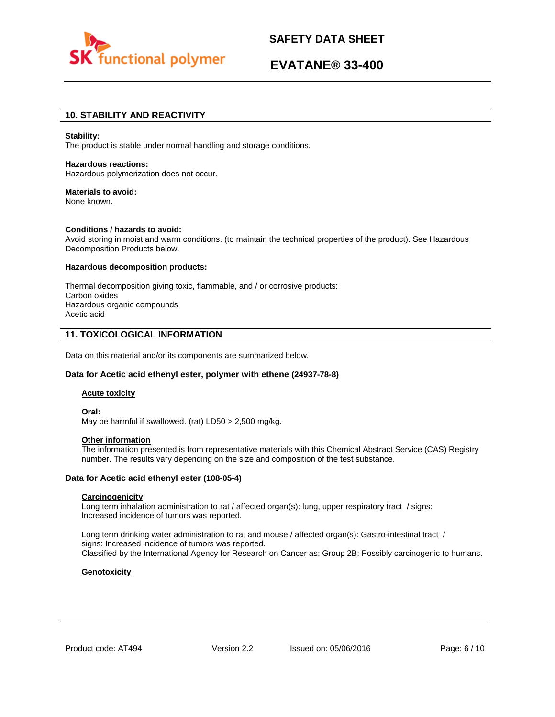

## **EVATANE® 33-400**

## **10. STABILITY AND REACTIVITY**

#### **Stability:**

The product is stable under normal handling and storage conditions.

## **Hazardous reactions:**

Hazardous polymerization does not occur.

### **Materials to avoid:**

None known.

### **Conditions / hazards to avoid:**

Avoid storing in moist and warm conditions. (to maintain the technical properties of the product). See Hazardous Decomposition Products below.

### **Hazardous decomposition products:**

Thermal decomposition giving toxic, flammable, and / or corrosive products: Carbon oxides Hazardous organic compounds Acetic acid

## **11. TOXICOLOGICAL INFORMATION**

Data on this material and/or its components are summarized below.

### **Data for Acetic acid ethenyl ester, polymer with ethene (24937-78-8)**

### **Acute toxicity**

**Oral:** May be harmful if swallowed. (rat) LD50 > 2,500 mg/kg.

#### **Other information**

The information presented is from representative materials with this Chemical Abstract Service (CAS) Registry number. The results vary depending on the size and composition of the test substance.

### **Data for Acetic acid ethenyl ester (108-05-4)**

### **Carcinogenicity**

Long term inhalation administration to rat / affected organ(s): lung, upper respiratory tract / signs: Increased incidence of tumors was reported.

Long term drinking water administration to rat and mouse / affected organ(s): Gastro-intestinal tract / signs: Increased incidence of tumors was reported. Classified by the International Agency for Research on Cancer as: Group 2B: Possibly carcinogenic to humans.

### **Genotoxicity**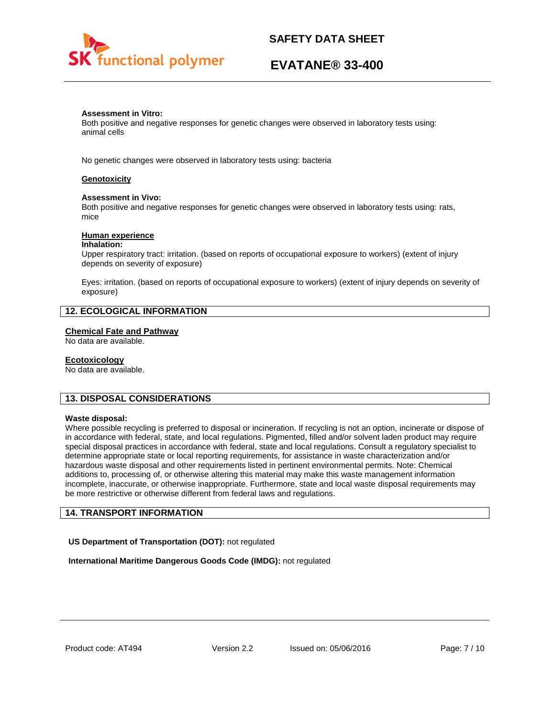

## **EVATANE® 33-400**

### **Assessment in Vitro:**

Both positive and negative responses for genetic changes were observed in laboratory tests using: animal cells

No genetic changes were observed in laboratory tests using: bacteria

### **Genotoxicity**

### **Assessment in Vivo:**

Both positive and negative responses for genetic changes were observed in laboratory tests using: rats, mice

### **Human experience**

#### **Inhalation:**

Upper respiratory tract: irritation. (based on reports of occupational exposure to workers) (extent of injury depends on severity of exposure)

Eyes: irritation. (based on reports of occupational exposure to workers) (extent of injury depends on severity of exposure)

## **12. ECOLOGICAL INFORMATION**

#### **Chemical Fate and Pathway**

No data are available.

#### **Ecotoxicology**

No data are available.

### **13. DISPOSAL CONSIDERATIONS**

#### **Waste disposal:**

Where possible recycling is preferred to disposal or incineration. If recycling is not an option, incinerate or dispose of in accordance with federal, state, and local regulations. Pigmented, filled and/or solvent laden product may require special disposal practices in accordance with federal, state and local regulations. Consult a regulatory specialist to determine appropriate state or local reporting requirements, for assistance in waste characterization and/or hazardous waste disposal and other requirements listed in pertinent environmental permits. Note: Chemical additions to, processing of, or otherwise altering this material may make this waste management information incomplete, inaccurate, or otherwise inappropriate. Furthermore, state and local waste disposal requirements may be more restrictive or otherwise different from federal laws and regulations.

### **14. TRANSPORT INFORMATION**

**US Department of Transportation (DOT):** not regulated

**International Maritime Dangerous Goods Code (IMDG):** not regulated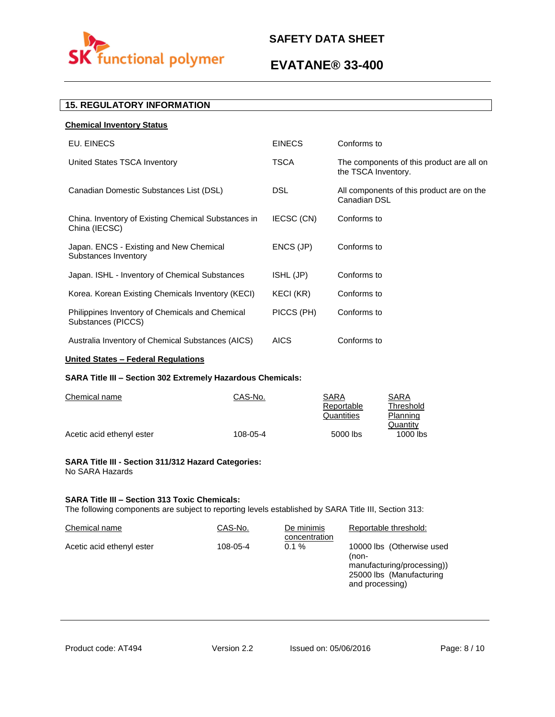

## **EVATANE® 33-400**

## **15. REGULATORY INFORMATION**

| <b>Chemical Inventory Status</b>                                      |               |                                                                  |
|-----------------------------------------------------------------------|---------------|------------------------------------------------------------------|
| EU. EINECS                                                            | <b>EINECS</b> | Conforms to                                                      |
| United States TSCA Inventory                                          | <b>TSCA</b>   | The components of this product are all on<br>the TSCA Inventory. |
| Canadian Domestic Substances List (DSL)                               | <b>DSL</b>    | All components of this product are on the<br>Canadian DSL        |
| China. Inventory of Existing Chemical Substances in<br>China (IECSC)  | IECSC (CN)    | Conforms to                                                      |
| Japan. ENCS - Existing and New Chemical<br>Substances Inventory       | ENCS (JP)     | Conforms to                                                      |
| Japan. ISHL - Inventory of Chemical Substances                        | ISHL (JP)     | Conforms to                                                      |
| Korea. Korean Existing Chemicals Inventory (KECI)                     | KECI (KR)     | Conforms to                                                      |
| Philippines Inventory of Chemicals and Chemical<br>Substances (PICCS) | PICCS (PH)    | Conforms to                                                      |
| Australia Inventory of Chemical Substances (AICS)                     | <b>AICS</b>   | Conforms to                                                      |
|                                                                       |               |                                                                  |

## **United States – Federal Regulations**

## **SARA Title III – Section 302 Extremely Hazardous Chemicals:**

| Chemical name             | CAS-No.  | SARA       | SARA       |
|---------------------------|----------|------------|------------|
|                           |          | Reportable | Threshold  |
|                           |          | Quantities | Planning   |
|                           |          |            | Quantity   |
| Acetic acid ethenyl ester | 108-05-4 | 5000 lbs   | $1000$ lbs |

### **SARA Title III - Section 311/312 Hazard Categories:**  No SARA Hazards

### **SARA Title III – Section 313 Toxic Chemicals:**

The following components are subject to reporting levels established by SARA Title III, Section 313:

| Chemical name             | CAS-No.  | De minimis<br>concentration | Reportable threshold:                                                                                           |
|---------------------------|----------|-----------------------------|-----------------------------------------------------------------------------------------------------------------|
| Acetic acid ethenyl ester | 108-05-4 | $0.1 \%$                    | 10000 lbs (Otherwise used<br>(non-<br>manufacturing/processing))<br>25000 lbs (Manufacturing<br>and processing) |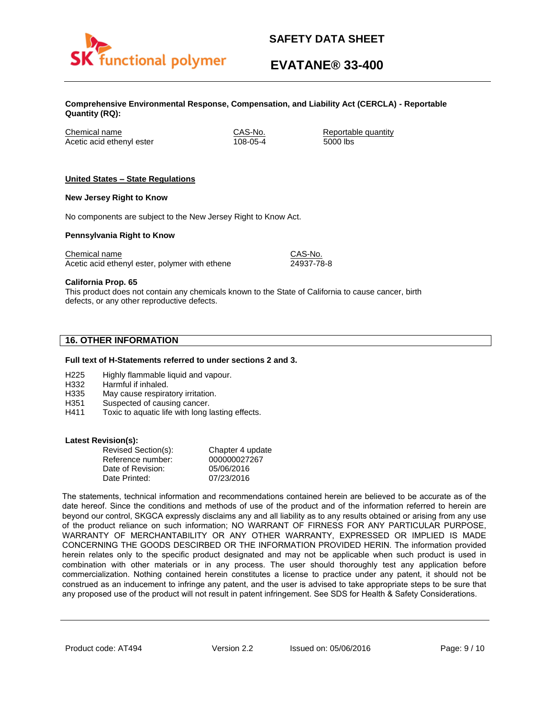

# **EVATANE® 33-400**

**Comprehensive Environmental Response, Compensation, and Liability Act (CERCLA) - Reportable Quantity (RQ):**

Chemical name CAS-No. Reportable quantity Acetic acid ethenyl ester 108-05-4 5000 lbs

### **United States – State Regulations**

### **New Jersey Right to Know**

No components are subject to the New Jersey Right to Know Act.

### **Pennsylvania Right to Know**

Chemical name Chemical name CAS-No. Acetic acid ethenyl ester, polymer with ethene 24937-78-8

**California Prop. 65**

This product does not contain any chemicals known to the State of California to cause cancer, birth defects, or any other reproductive defects.

## **16. OTHER INFORMATION**

### **Full text of H-Statements referred to under sections 2 and 3.**

- H225 Highly flammable liquid and vapour.
- H332 Harmful if inhaled.
- H335 May cause respiratory irritation.
- H351 Suspected of causing cancer.
- H411 Toxic to aquatic life with long lasting effects.

### **Latest Revision(s):**

| Revised Section(s): | Chapter 4 update |
|---------------------|------------------|
| Reference number:   | 000000027267     |
| Date of Revision:   | 05/06/2016       |
| Date Printed:       | 07/23/2016       |

The statements, technical information and recommendations contained herein are believed to be accurate as of the date hereof. Since the conditions and methods of use of the product and of the information referred to herein are beyond our control, SKGCA expressly disclaims any and all liability as to any results obtained or arising from any use of the product reliance on such information; NO WARRANT OF FIRNESS FOR ANY PARTICULAR PURPOSE, WARRANTY OF MERCHANTABILITY OR ANY OTHER WARRANTY, EXPRESSED OR IMPLIED IS MADE CONCERNING THE GOODS DESCIRBED OR THE INFORMATION PROVIDED HERIN. The information provided herein relates only to the specific product designated and may not be applicable when such product is used in combination with other materials or in any process. The user should thoroughly test any application before commercialization. Nothing contained herein constitutes a license to practice under any patent, it should not be construed as an inducement to infringe any patent, and the user is advised to take appropriate steps to be sure that any proposed use of the product will not result in patent infringement. See SDS for Health & Safety Considerations.

Product code: AT494 Version 2.2 Issued on: 05/06/2016 Page: 9/10